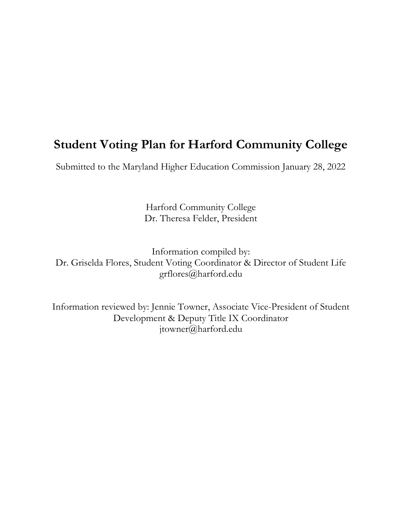# **Student Voting Plan for Harford Community College**

Submitted to the Maryland Higher Education Commission January 28, 2022

Harford Community College Dr. Theresa Felder, President

Information compiled by: Dr. Griselda Flores, Student Voting Coordinator & Director of Student Life grflores@harford.edu

Information reviewed by: Jennie Towner, Associate Vice-President of Student Development & Deputy Title IX Coordinator jtowner@harford.edu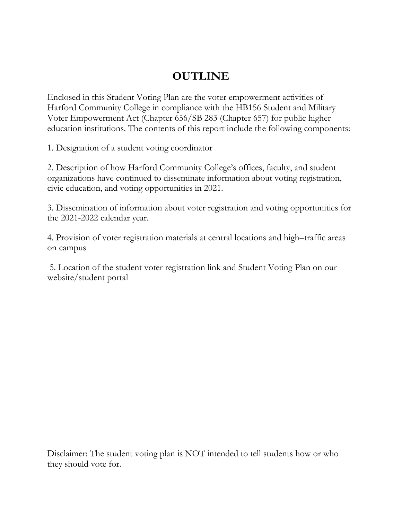# **OUTLINE**

Enclosed in this Student Voting Plan are the voter empowerment activities of Harford Community College in compliance with the HB156 Student and Military Voter Empowerment Act (Chapter 656/SB 283 (Chapter 657) for public higher education institutions. The contents of this report include the following components:

1. Designation of a student voting coordinator

2. Description of how Harford Community College's offices, faculty, and student organizations have continued to disseminate information about voting registration, civic education, and voting opportunities in 2021.

3. Dissemination of information about voter registration and voting opportunities for the 2021-2022 calendar year.

4. Provision of voter registration materials at central locations and high–traffic areas on campus

5. Location of the student voter registration link and Student Voting Plan on our website/student portal

Disclaimer: The student voting plan is NOT intended to tell students how or who they should vote for.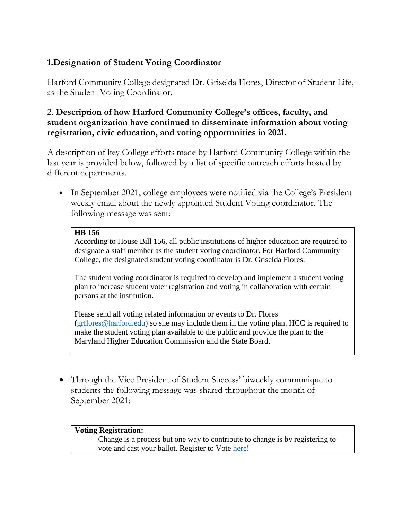# **1.Designation of Student Voting Coordinator**

Harford Community College designated Dr. Griselda Flores, Director of Student Life, as the Student Voting Coordinator.

### 2. **Description of how Harford Community College's offices, faculty, and student organization have continued to disseminate information about voting registration, civic education, and voting opportunities in 2021.**

A description of key College efforts made by Harford Community College within the last year is provided below, followed by a list of specific outreach efforts hosted by different departments.

• In September 2021, college employees were notified via the College's President weekly email about the newly appointed Student Voting coordinator. The following message was sent:

#### **HB 156**

According to House Bill 156, all public institutions of higher education are required to designate a staff member as the student voting coordinator. For Harford Community College, the designated student voting coordinator is Dr. Griselda Flores.

The student voting coordinator is required to develop and implement a student voting plan to increase student voter registration and voting in collaboration with certain persons at the institution.

Please send all voting related information or events to Dr. Flores [\(grflores@harford.edu\)](mailto:grflores@harford.edu) so she may include them in the voting plan. HCC is required to make the student voting plan available to the public and provide the plan to the Maryland Higher Education Commission and the State Board.

• Through the Vice President of Student Success' biweekly communique to students the following message was shared throughout the month of September 2021:

#### **Voting Registration:**

Change is a process but one way to contribute to change is by registering to vote and cast your ballot. Register to Vote [here!](https://elections.maryland.gov/voter_registration/)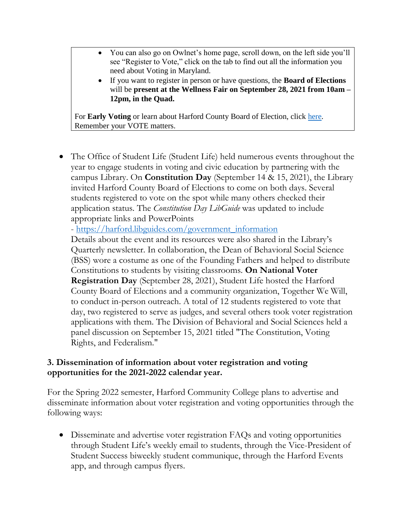- You can also go on Owlnet's home page, scroll down, on the left side you'll see "Register to Vote," click on the tab to find out all the information you need about Voting in Maryland.
- If you want to register in person or have questions, the **Board of Elections**  will be **present at the Wellness Fair on September 28, 2021 from 10am – 12pm, in the Quad.**

For **Early Voting** or learn about Harford County Board of Election, click [here.](https://harfordvotes.info/polling-places/) Remember your VOTE matters.

 The Office of Student Life (Student Life) held numerous events throughout the year to engage students in voting and civic education by partnering with the campus Library. On **Constitution Day** (September 14 & 15, 2021), the Library invited Harford County Board of Elections to come on both days. Several students registered to vote on the spot while many others checked their application status. The *Constitution Day LibGuide* was updated to include appropriate links and PowerPoints

- [https://harford.libguides.com/government\\_information](https://harford.libguides.com/government_information)

Details about the event and its resources were also shared in the Library's Quarterly newsletter. In collaboration, the Dean of Behavioral Social Science (BSS) wore a costume as one of the Founding Fathers and helped to distribute Constitutions to students by visiting classrooms. **On National Voter Registration Day** (September 28, 2021), Student Life hosted the Harford County Board of Elections and a community organization, Together We Will, to conduct in-person outreach. A total of 12 students registered to vote that day, two registered to serve as judges, and several others took voter registration applications with them. The Division of Behavioral and Social Sciences held a panel discussion on September 15, 2021 titled "The Constitution, Voting Rights, and Federalism."

## **3. Dissemination of information about voter registration and voting opportunities for the 2021-2022 calendar year.**

For the Spring 2022 semester, Harford Community College plans to advertise and disseminate information about voter registration and voting opportunities through the following ways:

 Disseminate and advertise voter registration FAQs and voting opportunities through Student Life's weekly email to students, through the Vice-President of Student Success biweekly student communique, through the Harford Events app, and through campus flyers.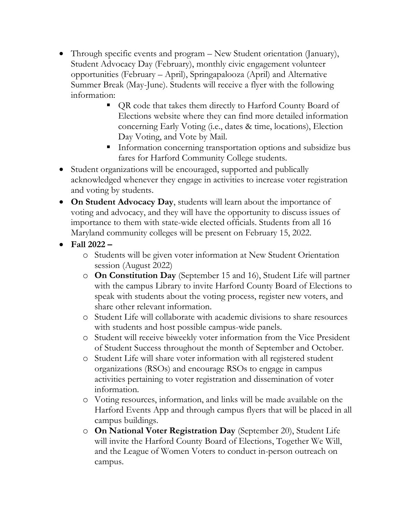- Through specific events and program New Student orientation (January), Student Advocacy Day (February), monthly civic engagement volunteer opportunities (February – April), Springapalooza (April) and Alternative Summer Break (May-June). Students will receive a flyer with the following information:
	- QR code that takes them directly to Harford County Board of Elections website where they can find more detailed information concerning Early Voting (i.e., dates & time, locations), Election Day Voting, and Vote by Mail.
	- **Information concerning transportation options and subsidize bus** fares for Harford Community College students.
- Student organizations will be encouraged, supported and publically acknowledged whenever they engage in activities to increase voter registration and voting by students.
- **On Student Advocacy Day**, students will learn about the importance of voting and advocacy, and they will have the opportunity to discuss issues of importance to them with state-wide elected officials. Students from all 16 Maryland community colleges will be present on February 15, 2022.
- **Fall 2022 –**
	- o Students will be given voter information at New Student Orientation session (August 2022)
	- o **On Constitution Day** (September 15 and 16), Student Life will partner with the campus Library to invite Harford County Board of Elections to speak with students about the voting process, register new voters, and share other relevant information.
	- o Student Life will collaborate with academic divisions to share resources with students and host possible campus-wide panels.
	- o Student will receive biweekly voter information from the Vice President of Student Success throughout the month of September and October.
	- o Student Life will share voter information with all registered student organizations (RSOs) and encourage RSOs to engage in campus activities pertaining to voter registration and dissemination of voter information.
	- o Voting resources, information, and links will be made available on the Harford Events App and through campus flyers that will be placed in all campus buildings.
	- o **On National Voter Registration Day** (September 20), Student Life will invite the Harford County Board of Elections, Together We Will, and the League of Women Voters to conduct in-person outreach on campus.